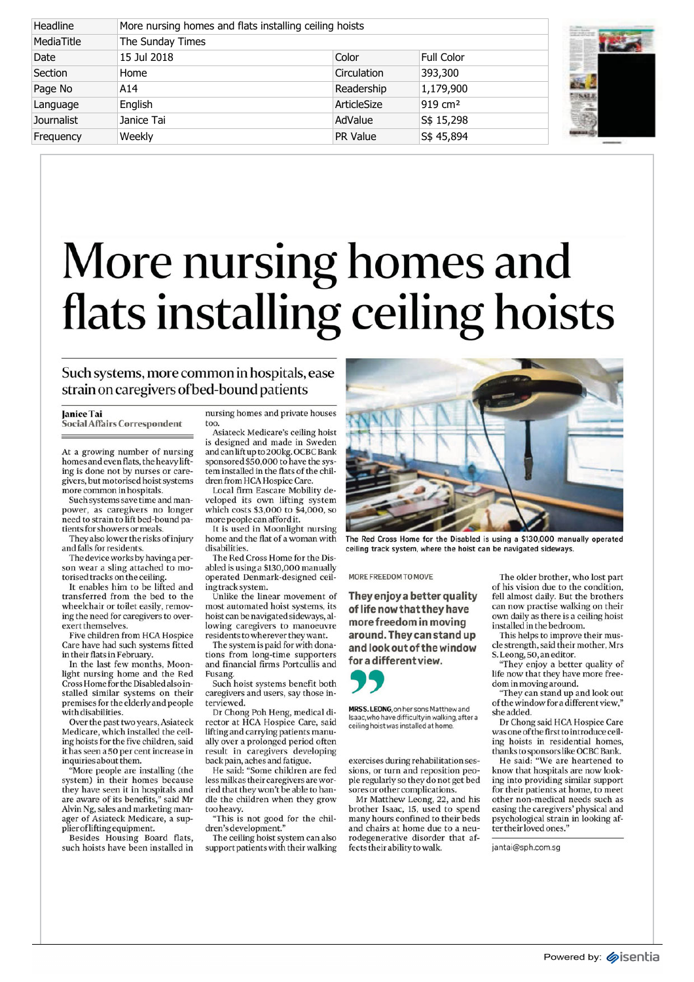## More nursing homes and flats installing ceiling hoists

## Such systems, more common in hospitals, ease strain on caregivers of bed-bound patients

too.

## Janice Tai

Social Affairs Correspondent

At a growing number of nursing homes and even flats, the heavy lifting is done not by nurses or caregivers, but motorised hoist systems more common in hospitals.

Such systems save time and manpower, as caregivers no longer need to strain to lift bed-bound patients for showers or meals.

They also lower the risks of injury and falls for residents.

The device works by having a person wear a sling attached to motorised tracks on the ceiling.

It enables him to be lifted and transferred from the bed to the wheelchair or toilet easily, removing the need for caregivers to overexert themselves.

Five children from HCA Hospice Care have had such systems fitted in their flats in February.

In the last few months, Moonlight nursing home and the Red Cross Home for the Disabled also installed similar systems on their premises for the elderly and people with disabilities.

Over the past two years, Asiateck Medicare, which installed the ceiling hoists for the five children, said it has seen a 50 per cent increase in inquiries about them.

"More people are installing (the system) in their homes because they have seen it in hospitals and are aware of its benefits," said Mr Alvin Ng, sales and marketing manager of Asiateck Medicare, a supplier of lifting equipment.

Besides Housing Board flats, such hoists have been installed in nursing homes and private houses

Asiateck Medicare's ceiling hoist is designed and made in Sweden and can lift up to 200kg. OCBC Bank sponsored \$50,000 to have the system installed in the flats of the children from HCA Hospice Care.

Local firm Eascare Mobility developed its own lifting system which costs \$3,000 to \$4,000, so more people can afford it.

It is used in Moonlight nursing home and the flat of a woman with disabilities. The Red Cross Home for the Dis-

abled is using a \$130,000 manually operated Denmark-designed ceiling track system.

Unlike the linear movement of most automated hoist systems, its hoist can be navigated sideways, allowing caregivers to manoeuvre residents to wherever they want.

The system is paid for with donations from long-time supporters and financial firms Portcullis and Fusang.

Such hoist systems benefit both caregivers and users, say those interviewed.

Dr Chong Poh Heng, medical director at HCA Hospice Care, said lifting and carrying patients manually over a prolonged period often result in caregivers developing back pain, aches and fatigue.

He said: "Some children are fed less milk as their caregivers are worried that they won't be able to handle the children when they grow too heavy.

"This is not good for the children's development."

The ceiling hoist system can also support patients with their walking



**The Red Cross Home for the Disabled is using a \$130,000 manually operated ceiling track system, where the hoist can be navigated sideways.**

**MORE FREEDOM TO MOVE**

**They enjoy a better quality of life now that they have more freedom in moving around. They can stand up and look out of the window for a different view.**

**SPRES.LEONOR<br>Isaac, who have didness to the set of the set of** 

**MRS S. LEONG**, on her sons Matthew and Isaac, who have difficulty in walking, after a ceiling hoist was installed at home.

exercises during rehabilitation sessions, or turn and reposition people regularly so they do not get bed sores or other complications.

Mr Matthew Leong, 22, and his brother Isaac, 15, used to spend many hours confined to their beds and chairs at home due to a neurodegenerative disorder that affects their ability to walk.

The older brother, who lost part of his vision due to the condition, fell almost daily. But the brothers can now practise walking on their own daily as there is a ceiling hoist installed in the bedroom.

This helps to improve their muscle strength, said their mother, Mrs S. Leong, 50, an editor.

They enjoy a better quality of life now that they have more freedom in moving around.

"They can stand up and look out of the window for a different view," she added.

Dr Chong said HCA Hospice Care was one of the first to introduce ceiling hoists in residential homes, thanks to sponsors like OCBC Bank.

He said: "We are heartened to know that hospitals are now looking into providing similar support for their patients at home, to meet other non-medical needs such as easing the caregivers' physical and psychological strain in looking after their loved ones."

jantai@sph.com.sg